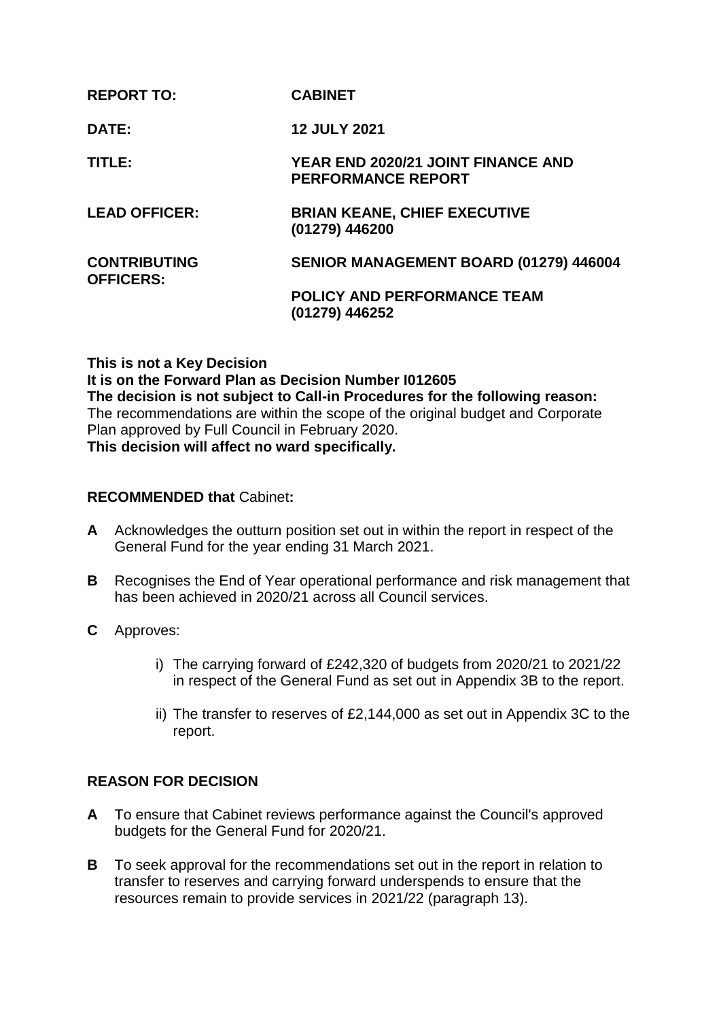| <b>REPORT TO:</b>                       | <b>CABINET</b>                                                  |
|-----------------------------------------|-----------------------------------------------------------------|
| DATE:                                   | <b>12 JULY 2021</b>                                             |
| TITLE:                                  | YEAR END 2020/21 JOINT FINANCE AND<br><b>PERFORMANCE REPORT</b> |
| <b>LEAD OFFICER:</b>                    | <b>BRIAN KEANE, CHIEF EXECUTIVE</b><br>(01279) 446200           |
| <b>CONTRIBUTING</b><br><b>OFFICERS:</b> | SENIOR MANAGEMENT BOARD (01279) 446004                          |
|                                         | <b>POLICY AND PERFORMANCE TEAM</b><br>(01279) 446252            |

**This is not a Key Decision It is on the Forward Plan as Decision Number I012605 The decision is not subject to Call-in Procedures for the following reason:** The recommendations are within the scope of the original budget and Corporate Plan approved by Full Council in February 2020. **This decision will affect no ward specifically.**

#### **RECOMMENDED that** Cabinet**:**

- **A** Acknowledges the outturn position set out in within the report in respect of the General Fund for the year ending 31 March 2021.
- **B** Recognises the End of Year operational performance and risk management that has been achieved in 2020/21 across all Council services.
- **C** Approves:
	- i) The carrying forward of £242,320 of budgets from 2020/21 to 2021/22 in respect of the General Fund as set out in Appendix 3B to the report.
	- ii) The transfer to reserves of £2,144,000 as set out in Appendix 3C to the report.

#### **REASON FOR DECISION**

- **A** To ensure that Cabinet reviews performance against the Council's approved budgets for the General Fund for 2020/21.
- **B** To seek approval for the recommendations set out in the report in relation to transfer to reserves and carrying forward underspends to ensure that the resources remain to provide services in 2021/22 (paragraph 13).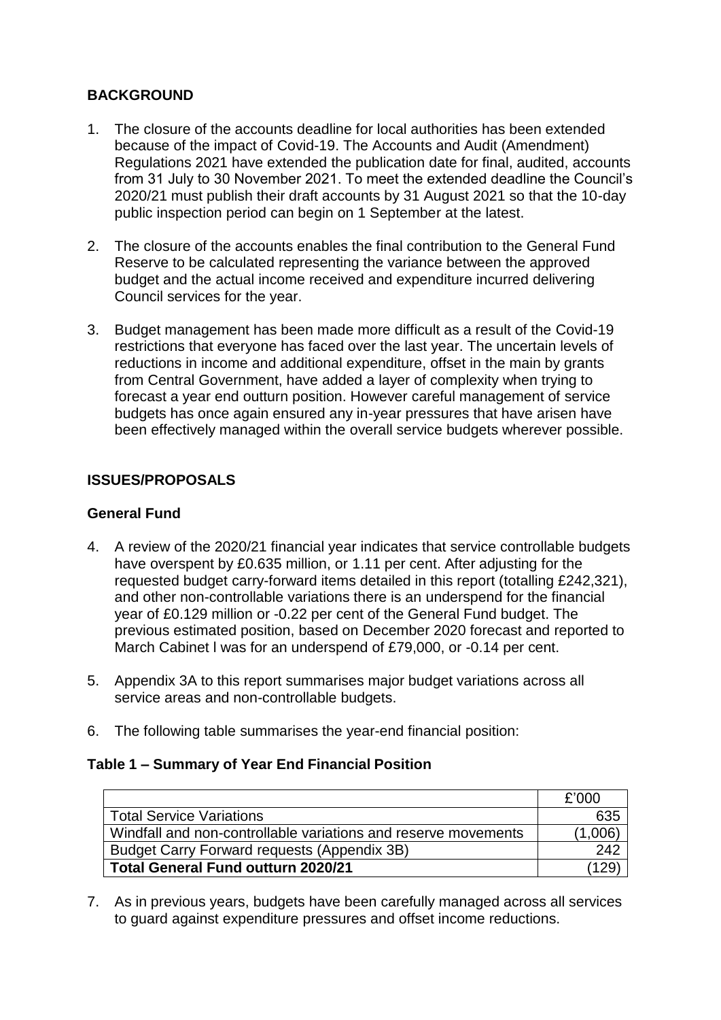# **BACKGROUND**

- 1. The closure of the accounts deadline for local authorities has been extended because of the impact of Covid-19. The Accounts and Audit (Amendment) Regulations 2021 have extended the publication date for final, audited, accounts from 31 July to 30 November 2021. To meet the extended deadline the Council's 2020/21 must publish their draft accounts by 31 August 2021 so that the 10-day public inspection period can begin on 1 September at the latest.
- 2. The closure of the accounts enables the final contribution to the General Fund Reserve to be calculated representing the variance between the approved budget and the actual income received and expenditure incurred delivering Council services for the year.
- 3. Budget management has been made more difficult as a result of the Covid-19 restrictions that everyone has faced over the last year. The uncertain levels of reductions in income and additional expenditure, offset in the main by grants from Central Government, have added a layer of complexity when trying to forecast a year end outturn position. However careful management of service budgets has once again ensured any in-year pressures that have arisen have been effectively managed within the overall service budgets wherever possible.

# **ISSUES/PROPOSALS**

#### **General Fund**

- 4. A review of the 2020/21 financial year indicates that service controllable budgets have overspent by £0.635 million, or 1.11 per cent. After adjusting for the requested budget carry-forward items detailed in this report (totalling £242,321), and other non-controllable variations there is an underspend for the financial year of £0.129 million or -0.22 per cent of the General Fund budget. The previous estimated position, based on December 2020 forecast and reported to March Cabinet l was for an underspend of £79,000, or -0.14 per cent.
- 5. Appendix 3A to this report summarises major budget variations across all service areas and non-controllable budgets.
- 6. The following table summarises the year-end financial position:

#### **Table 1 – Summary of Year End Financial Position**

|                                                                | £'000   |
|----------------------------------------------------------------|---------|
| <b>Total Service Variations</b>                                | 635     |
| Windfall and non-controllable variations and reserve movements | (1.006) |
| Budget Carry Forward requests (Appendix 3B)                    | 242     |
| <b>Total General Fund outturn 2020/21</b>                      |         |

7. As in previous years, budgets have been carefully managed across all services to guard against expenditure pressures and offset income reductions.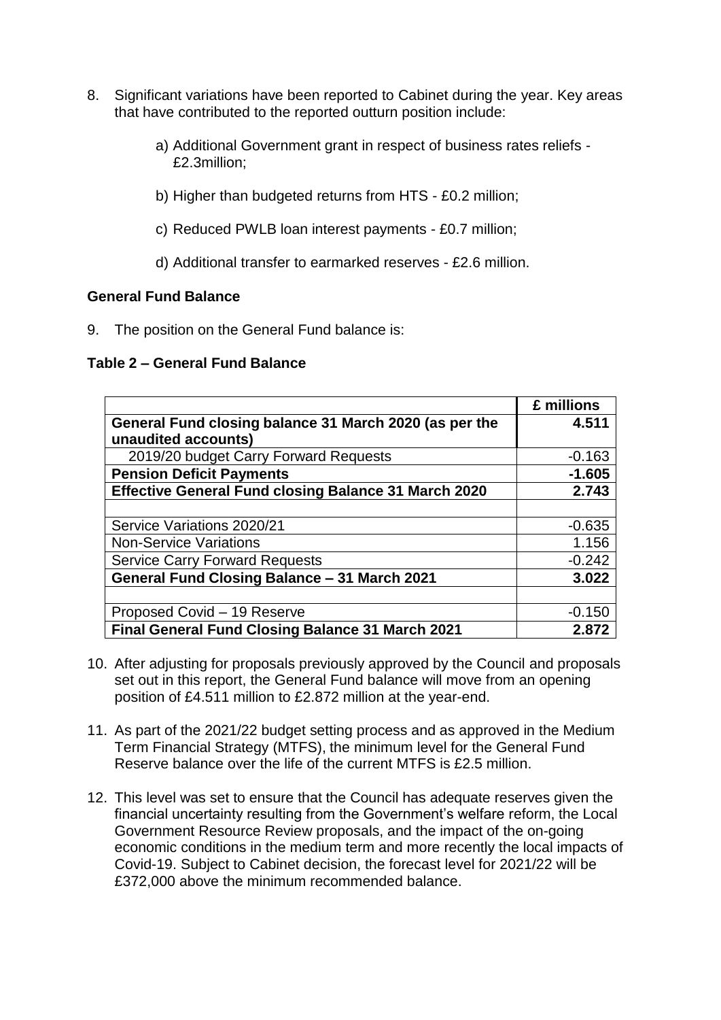- 8. Significant variations have been reported to Cabinet during the year. Key areas that have contributed to the reported outturn position include:
	- a) Additional Government grant in respect of business rates reliefs £2.3million;
	- b) Higher than budgeted returns from HTS £0.2 million;
	- c) Reduced PWLB loan interest payments £0.7 million;
	- d) Additional transfer to earmarked reserves £2.6 million.

#### **General Fund Balance**

9. The position on the General Fund balance is:

#### **Table 2 – General Fund Balance**

|                                                             | £ millions |
|-------------------------------------------------------------|------------|
| General Fund closing balance 31 March 2020 (as per the      | 4.511      |
| unaudited accounts)                                         |            |
| 2019/20 budget Carry Forward Requests                       | $-0.163$   |
| <b>Pension Deficit Payments</b>                             | $-1.605$   |
| <b>Effective General Fund closing Balance 31 March 2020</b> | 2.743      |
|                                                             |            |
| Service Variations 2020/21                                  | $-0.635$   |
| <b>Non-Service Variations</b>                               | 1.156      |
| <b>Service Carry Forward Requests</b>                       | $-0.242$   |
| General Fund Closing Balance - 31 March 2021                | 3.022      |
|                                                             |            |
| Proposed Covid - 19 Reserve                                 | $-0.150$   |
| <b>Final General Fund Closing Balance 31 March 2021</b>     | 2.872      |

- 10. After adjusting for proposals previously approved by the Council and proposals set out in this report, the General Fund balance will move from an opening position of £4.511 million to £2.872 million at the year-end.
- 11. As part of the 2021/22 budget setting process and as approved in the Medium Term Financial Strategy (MTFS), the minimum level for the General Fund Reserve balance over the life of the current MTFS is £2.5 million.
- 12. This level was set to ensure that the Council has adequate reserves given the financial uncertainty resulting from the Government's welfare reform, the Local Government Resource Review proposals, and the impact of the on-going economic conditions in the medium term and more recently the local impacts of Covid-19. Subject to Cabinet decision, the forecast level for 2021/22 will be £372,000 above the minimum recommended balance.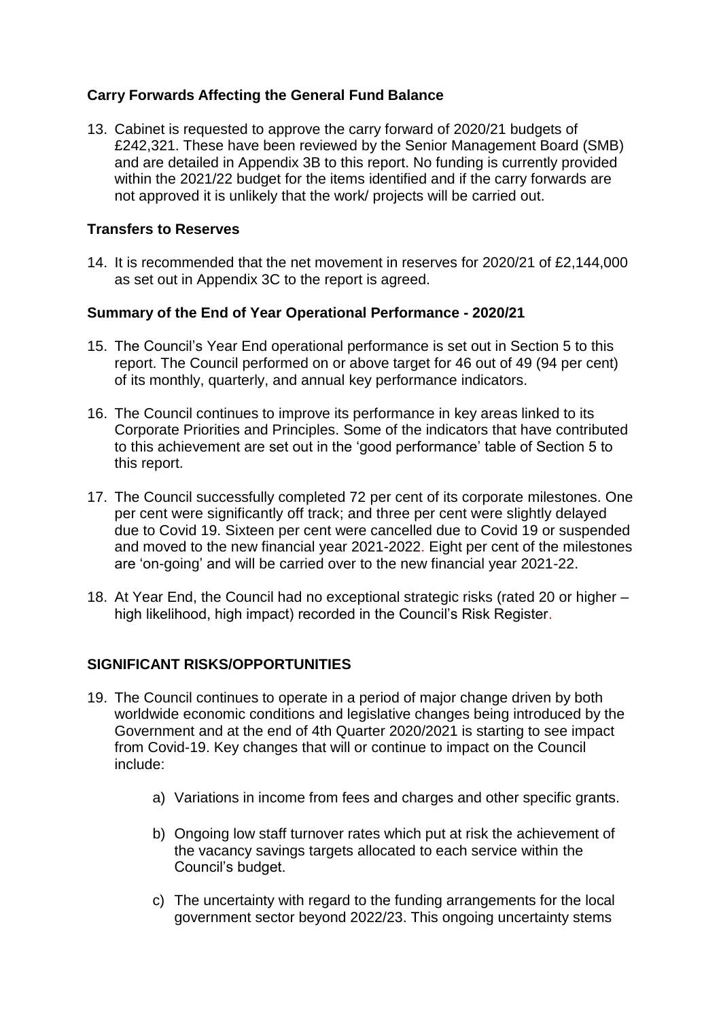# **Carry Forwards Affecting the General Fund Balance**

13. Cabinet is requested to approve the carry forward of 2020/21 budgets of £242,321. These have been reviewed by the Senior Management Board (SMB) and are detailed in Appendix 3B to this report. No funding is currently provided within the 2021/22 budget for the items identified and if the carry forwards are not approved it is unlikely that the work/ projects will be carried out.

# **Transfers to Reserves**

14. It is recommended that the net movement in reserves for 2020/21 of £2,144,000 as set out in Appendix 3C to the report is agreed.

# **Summary of the End of Year Operational Performance - 2020/21**

- 15. The Council's Year End operational performance is set out in Section 5 to this report. The Council performed on or above target for 46 out of 49 (94 per cent) of its monthly, quarterly, and annual key performance indicators.
- 16. The Council continues to improve its performance in key areas linked to its Corporate Priorities and Principles. Some of the indicators that have contributed to this achievement are set out in the 'good performance' table of Section 5 to this report.
- 17. The Council successfully completed 72 per cent of its corporate milestones. One per cent were significantly off track; and three per cent were slightly delayed due to Covid 19. Sixteen per cent were cancelled due to Covid 19 or suspended and moved to the new financial year 2021-2022. Eight per cent of the milestones are 'on-going' and will be carried over to the new financial year 2021-22.
- 18. At Year End, the Council had no exceptional strategic risks (rated 20 or higher high likelihood, high impact) recorded in the Council's Risk Register.

# **SIGNIFICANT RISKS/OPPORTUNITIES**

- 19. The Council continues to operate in a period of major change driven by both worldwide economic conditions and legislative changes being introduced by the Government and at the end of 4th Quarter 2020/2021 is starting to see impact from Covid-19. Key changes that will or continue to impact on the Council include:
	- a) Variations in income from fees and charges and other specific grants.
	- b) Ongoing low staff turnover rates which put at risk the achievement of the vacancy savings targets allocated to each service within the Council's budget.
	- c) The uncertainty with regard to the funding arrangements for the local government sector beyond 2022/23. This ongoing uncertainty stems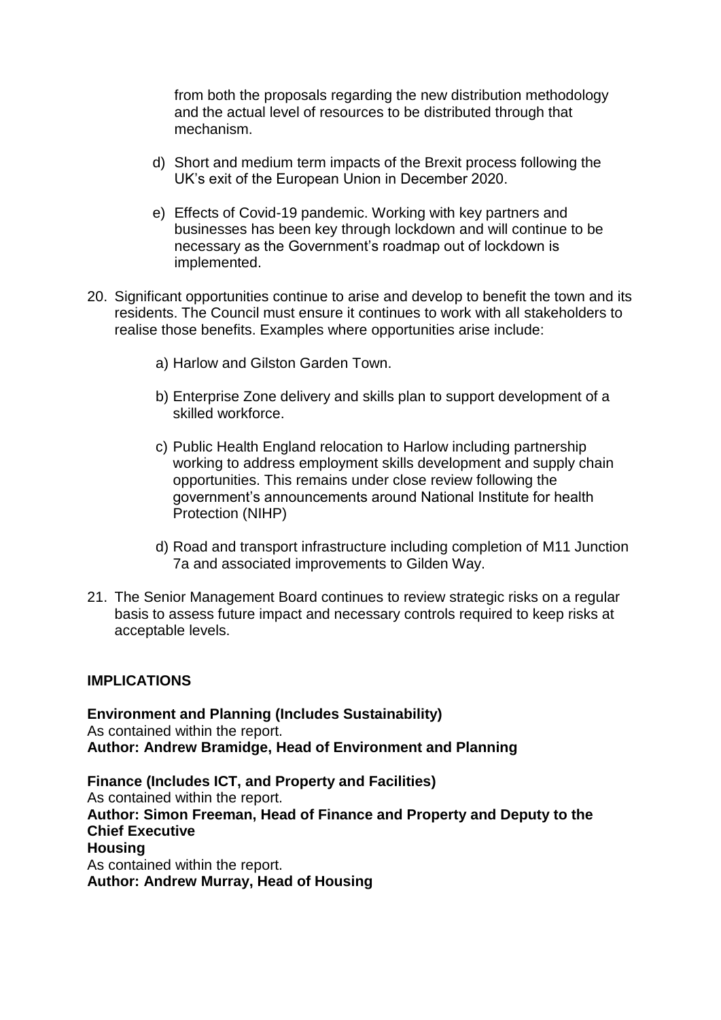from both the proposals regarding the new distribution methodology and the actual level of resources to be distributed through that mechanism.

- d) Short and medium term impacts of the Brexit process following the UK's exit of the European Union in December 2020.
- e) Effects of Covid-19 pandemic. Working with key partners and businesses has been key through lockdown and will continue to be necessary as the Government's roadmap out of lockdown is implemented.
- 20. Significant opportunities continue to arise and develop to benefit the town and its residents. The Council must ensure it continues to work with all stakeholders to realise those benefits. Examples where opportunities arise include:
	- a) Harlow and Gilston Garden Town.
	- b) Enterprise Zone delivery and skills plan to support development of a skilled workforce.
	- c) Public Health England relocation to Harlow including partnership working to address employment skills development and supply chain opportunities. This remains under close review following the government's announcements around National Institute for health Protection (NIHP)
	- d) Road and transport infrastructure including completion of M11 Junction 7a and associated improvements to Gilden Way.
- 21. The Senior Management Board continues to review strategic risks on a regular basis to assess future impact and necessary controls required to keep risks at acceptable levels.

#### **IMPLICATIONS**

**Environment and Planning (Includes Sustainability)** As contained within the report. **Author: Andrew Bramidge, Head of Environment and Planning** 

**Finance (Includes ICT, and Property and Facilities)** As contained within the report. **Author: Simon Freeman, Head of Finance and Property and Deputy to the Chief Executive Housing** As contained within the report. **Author: Andrew Murray, Head of Housing**